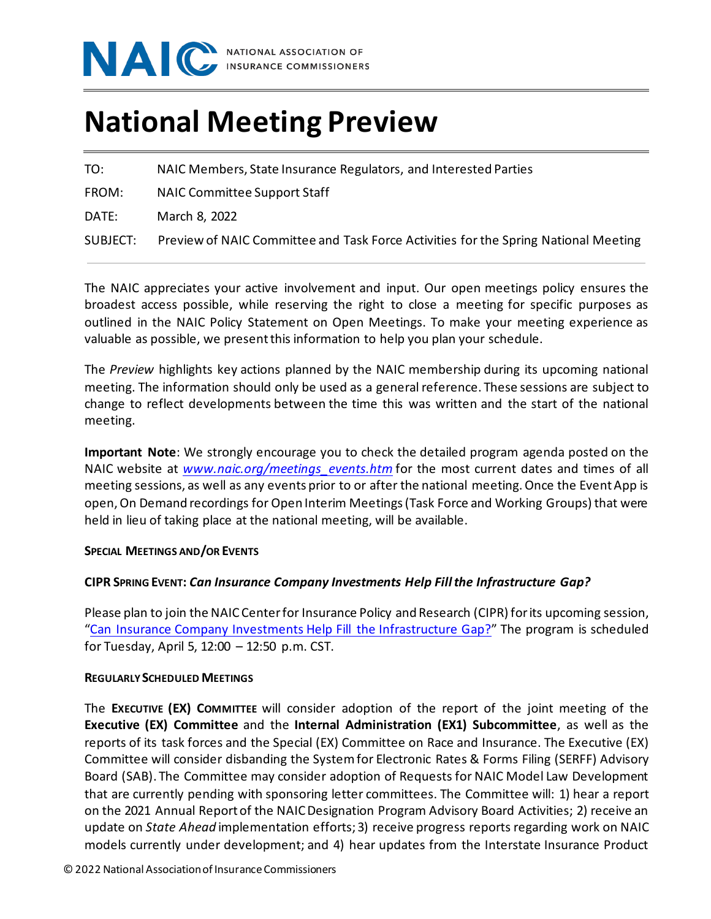

# **National Meeting Preview**

TO: NAIC Members, State Insurance Regulators, and Interested Parties

FROM: NAIC Committee Support Staff

DATE: March 8, 2022

SUBJECT: Preview of NAIC Committee and Task Force Activities for the Spring National Meeting

The NAIC appreciates your active involvement and input. Our open meetings policy ensures the broadest access possible, while reserving the right to close a meeting for specific purposes as outlined in the NAIC Policy Statement on Open Meetings. To make your meeting experience as valuable as possible, we present this information to help you plan your schedule.

The *Preview* highlights key actions planned by the NAIC membership during its upcoming national meeting. The information should only be used as a general reference. These sessions are subject to change to reflect developments between the time this was written and the start of the national meeting.

**Important Note**: We strongly encourage you to check the detailed program agenda posted on the NAIC website at *[www.naic.org/meetings\\_events.htm](http://www.naic.org/meetings_events.htm)* for the most current dates and times of all meeting sessions, as well as any events prior to or after the national meeting.Once the Event App is open, On Demand recordings for Open Interim Meetings (Task Force and Working Groups) that were held in lieu of taking place at the national meeting, will be available.

## **SPECIAL MEETINGS AND/OR EVENTS**

## **CIPR SPRING EVENT:** *Can Insurance Company Investments Help Fill the Infrastructure Gap?*

Please plan to join the NAIC Center for Insurance Policy and Research (CIPR) for its upcoming session, ["Can Insurance Company Investments Help Fill the Infrastructure Gap?"](https://content.naic.org/sites/default/files/cipr-report-infrastructure-gap.pdf) The program is scheduled for Tuesday, April 5, 12:00 – 12:50 p.m. CST.

#### **REGULARLY SCHEDULED MEETINGS**

The **EXECUTIVE (EX) COMMITTEE** will consider adoption of the report of the joint meeting of the **Executive (EX) Committee** and the **Internal Administration (EX1) Subcommittee**, as well as the reports of its task forces and the Special (EX) Committee on Race and Insurance. The Executive (EX) Committee will consider disbanding the System for Electronic Rates & Forms Filing (SERFF) Advisory Board (SAB). The Committee may consider adoption of Requests for NAIC Model Law Development that are currently pending with sponsoring letter committees. The Committee will: 1) hear a report on the 2021 Annual Report of the NAIC Designation Program Advisory Board Activities; 2) receive an update on *State Ahead* implementation efforts; 3) receive progress reports regarding work on NAIC models currently under development; and 4) hear updates from the Interstate Insurance Product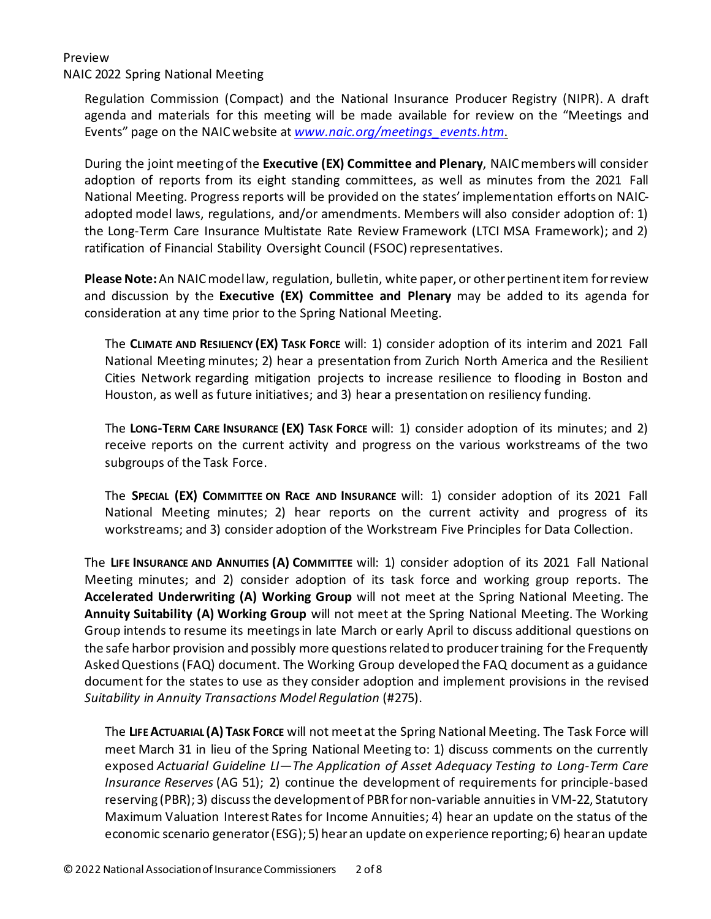NAIC 2022 Spring National Meeting

Regulation Commission (Compact) and the National Insurance Producer Registry (NIPR). A draft agenda and materials for this meeting will be made available for review on the "Meetings and Events" page on the NAIC website at *[www.naic.org/meetings\\_events.htm](http://www.naic.org/meetings_events.htm)*.

During the joint meeting of the **Executive (EX) Committee and Plenary**, NAIC members will consider adoption of reports from its eight standing committees, as well as minutes from the 2021 Fall National Meeting. Progress reports will be provided on the states' implementation efforts on NAICadopted model laws, regulations, and/or amendments. Members will also consider adoption of: 1) the Long-Term Care Insurance Multistate Rate Review Framework (LTCI MSA Framework); and 2) ratification of Financial Stability Oversight Council (FSOC) representatives.

**Please Note:** An NAIC model law, regulation, bulletin, white paper, or other pertinent item for review and discussion by the **Executive (EX) Committee and Plenary** may be added to its agenda for consideration at any time prior to the Spring National Meeting.

The **CLIMATE AND RESILIENCY (EX) TASK FORCE** will: 1) consider adoption of its interim and 2021 Fall National Meeting minutes; 2) hear a presentation from Zurich North America and the Resilient Cities Network regarding mitigation projects to increase resilience to flooding in Boston and Houston, as well as future initiatives; and 3) hear a presentation on resiliency funding.

The **LONG-TERM CARE INSURANCE (EX) TASK FORCE** will: 1) consider adoption of its minutes; and 2) receive reports on the current activity and progress on the various workstreams of the two subgroups of the Task Force.

The **SPECIAL (EX) COMMITTEE ON RACE AND INSURANCE** will: 1) consider adoption of its 2021 Fall National Meeting minutes; 2) hear reports on the current activity and progress of its workstreams; and 3) consider adoption of the Workstream Five Principles for Data Collection.

The **LIFE INSURANCE AND ANNUITIES (A) COMMITTEE** will: 1) consider adoption of its 2021 Fall National Meeting minutes; and 2) consider adoption of its task force and working group reports. The **Accelerated Underwriting (A) Working Group** will not meet at the Spring National Meeting. The **Annuity Suitability (A) Working Group** will not meet at the Spring National Meeting. The Working Group intends to resume its meetings in late March or early April to discuss additional questions on the safe harbor provision and possibly more questions related to producer training for the Frequently Asked Questions (FAQ) document. The Working Group developed the FAQ document as a guidance document for the states to use as they consider adoption and implement provisions in the revised *Suitability in Annuity Transactions Model Regulation* (#275).

The **LIFE ACTUARIAL (A) TASK FORCE** will not meet at the Spring National Meeting. The Task Force will meet March 31 in lieu of the Spring National Meeting to: 1) discuss comments on the currently exposed *Actuarial Guideline LI—The Application of Asset Adequacy Testing to Long-Term Care Insurance Reserves* (AG 51); 2) continue the development of requirements for principle-based reserving (PBR); 3) discuss the development of PBR for non-variable annuities in VM-22, Statutory Maximum Valuation Interest Rates for Income Annuities; 4) hear an update on the status of the economic scenario generator (ESG); 5) hear an update on experience reporting; 6) hear an update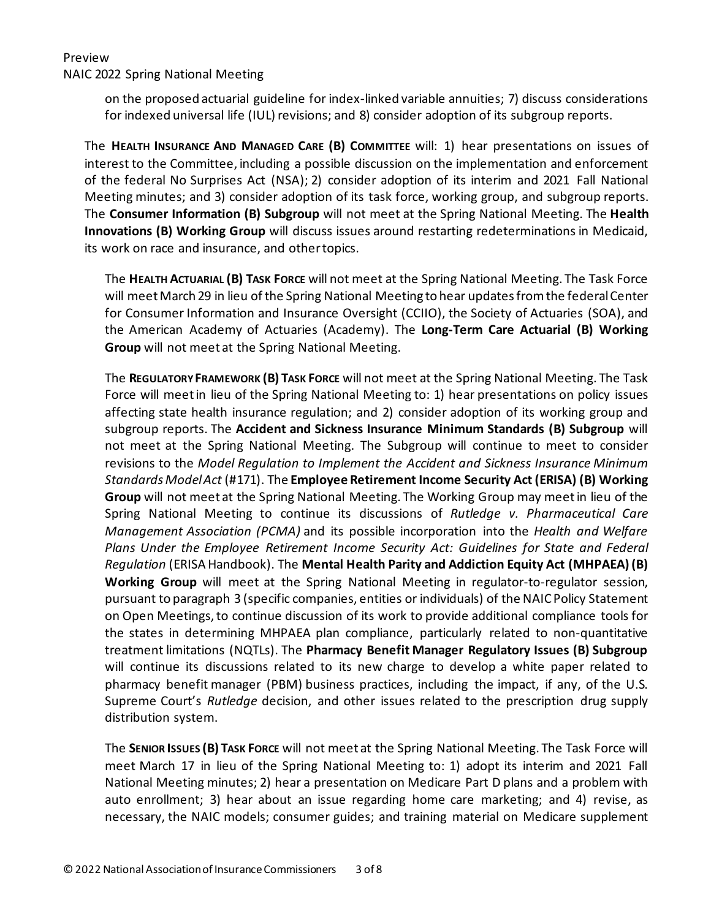NAIC 2022 Spring National Meeting

on the proposed actuarial guideline for index-linked variable annuities; 7) discuss considerations for indexed universal life (IUL) revisions; and 8) consider adoption of its subgroup reports.

The **HEALTH INSURANCE AND MANAGED CARE (B) COMMITTEE** will: 1) hear presentations on issues of interest to the Committee, including a possible discussion on the implementation and enforcement of the federal No Surprises Act (NSA); 2) consider adoption of its interim and 2021 Fall National Meeting minutes; and 3) consider adoption of its task force, working group, and subgroup reports. The **Consumer Information (B) Subgroup** will not meet at the Spring National Meeting. The **Health Innovations (B) Working Group** will discuss issues around restarting redeterminations in Medicaid, its work on race and insurance, and other topics.

The **HEALTH ACTUARIAL (B) TASK FORCE** will not meet at the Spring National Meeting. The Task Force will meet March 29 in lieu of the Spring National Meeting to hear updates from the federal Center for Consumer Information and Insurance Oversight (CCIIO), the Society of Actuaries (SOA), and the American Academy of Actuaries (Academy). The **Long-Term Care Actuarial (B) Working Group** will not meet at the Spring National Meeting.

The **REGULATORY FRAMEWORK (B) TASK FORCE** will not meet at the Spring National Meeting. The Task Force will meet in lieu of the Spring National Meeting to: 1) hear presentations on policy issues affecting state health insurance regulation; and 2) consider adoption of its working group and subgroup reports. The **Accident and Sickness Insurance Minimum Standards (B) Subgroup** will not meet at the Spring National Meeting. The Subgroup will continue to meet to consider revisions to the *Model Regulation to Implement the Accident and Sickness Insurance Minimum Standards Model Act* (#171). The **Employee Retirement Income Security Act (ERISA) (B) Working Group** will not meet at the Spring National Meeting. The Working Group may meet in lieu of the Spring National Meeting to continue its discussions of *Rutledge v. Pharmaceutical Care Management Association (PCMA)* and its possible incorporation into the *Health and Welfare Plans Under the Employee Retirement Income Security Act: Guidelines for State and Federal Regulation* (ERISA Handbook). The **Mental Health Parity and Addiction Equity Act (MHPAEA) (B) Working Group** will meet at the Spring National Meeting in regulator-to-regulator session, pursuant to paragraph 3 (specific companies, entities or individuals) of the NAIC Policy Statement on Open Meetings, to continue discussion of its work to provide additional compliance tools for the states in determining MHPAEA plan compliance, particularly related to non-quantitative treatment limitations (NQTLs). The **Pharmacy Benefit Manager Regulatory Issues (B) Subgroup**  will continue its discussions related to its new charge to develop a white paper related to pharmacy benefit manager (PBM) business practices, including the impact, if any, of the U.S. Supreme Court's *Rutledge* decision, and other issues related to the prescription drug supply distribution system.

The **SENIOR ISSUES (B) TASK FORCE** will not meet at the Spring National Meeting. The Task Force will meet March 17 in lieu of the Spring National Meeting to: 1) adopt its interim and 2021 Fall National Meeting minutes; 2) hear a presentation on Medicare Part D plans and a problem with auto enrollment; 3) hear about an issue regarding home care marketing; and 4) revise, as necessary, the NAIC models; consumer guides; and training material on Medicare supplement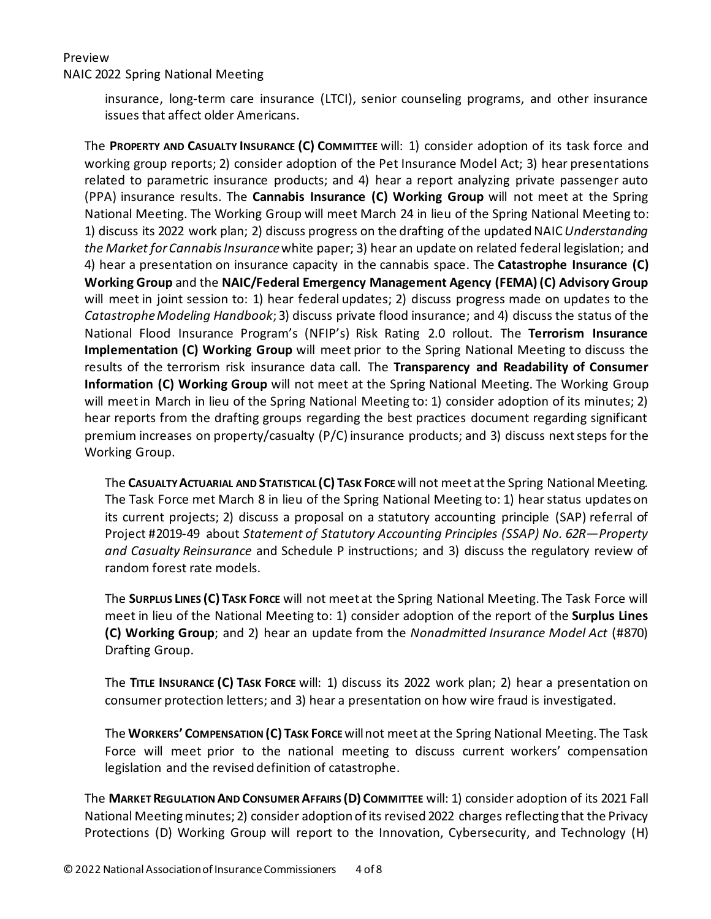NAIC 2022 Spring National Meeting

insurance, long-term care insurance (LTCI), senior counseling programs, and other insurance issues that affect older Americans.

The **PROPERTY AND CASUALTY INSURANCE (C) COMMITTEE** will: 1) consider adoption of its task force and working group reports; 2) consider adoption of the Pet Insurance Model Act; 3) hear presentations related to parametric insurance products; and 4) hear a report analyzing private passenger auto (PPA) insurance results. The **Cannabis Insurance (C) Working Group** will not meet at the Spring National Meeting. The Working Group will meet March 24 in lieu of the Spring National Meeting to: 1) discuss its 2022 work plan; 2) discuss progress on the drafting of the updated NAIC *Understanding the Market for Cannabis Insurance* white paper; 3) hear an update on related federal legislation; and 4) hear a presentation on insurance capacity in the cannabis space. The **Catastrophe Insurance (C) Working Group** and the **NAIC/Federal Emergency Management Agency (FEMA)(C) Advisory Group** will meet in joint session to: 1) hear federal updates; 2) discuss progress made on updates to the *Catastrophe Modeling Handbook*; 3) discuss private flood insurance; and 4) discuss the status of the National Flood Insurance Program's (NFIP's) Risk Rating 2.0 rollout. The **Terrorism Insurance Implementation (C) Working Group** will meet prior to the Spring National Meeting to discuss the results of the terrorism risk insurance data call. The **Transparency and Readability of Consumer Information (C) Working Group** will not meet at the Spring National Meeting. The Working Group will meet in March in lieu of the Spring National Meeting to: 1) consider adoption of its minutes; 2) hear reports from the drafting groups regarding the best practices document regarding significant premium increases on property/casualty (P/C) insurance products; and 3) discuss next steps for the Working Group.

The **CASUALTY ACTUARIAL AND STATISTICAL (C) TASK FORCE**will not meet at the Spring National Meeting. The Task Force met March 8 in lieu of the Spring National Meeting to: 1) hear status updates on its current projects; 2) discuss a proposal on a statutory accounting principle (SAP) referral of Project #2019-49 about *Statement of Statutory Accounting Principles (SSAP) No. 62R—Property and Casualty Reinsurance* and Schedule P instructions; and 3) discuss the regulatory review of random forest rate models.

The **SURPLUS LINES (C) TASK FORCE** will not meet at the Spring National Meeting. The Task Force will meet in lieu of the National Meeting to: 1) consider adoption of the report of the **Surplus Lines (C) Working Group**; and 2) hear an update from the *Nonadmitted Insurance Model Act* (#870) Drafting Group.

The **TITLE INSURANCE (C) TASK FORCE** will: 1) discuss its 2022 work plan; 2) hear a presentation on consumer protection letters; and 3) hear a presentation on how wire fraud is investigated.

The **WORKERS' COMPENSATION (C) TASK FORCE** will not meet at the Spring National Meeting. The Task Force will meet prior to the national meeting to discuss current workers' compensation legislation and the revised definition of catastrophe.

The **MARKET REGULATION AND CONSUMER AFFAIRS (D) COMMITTEE** will: 1) consider adoption of its 2021 Fall National Meeting minutes; 2) consider adoption of its revised 2022 charges reflecting that the Privacy Protections (D) Working Group will report to the Innovation, Cybersecurity, and Technology (H)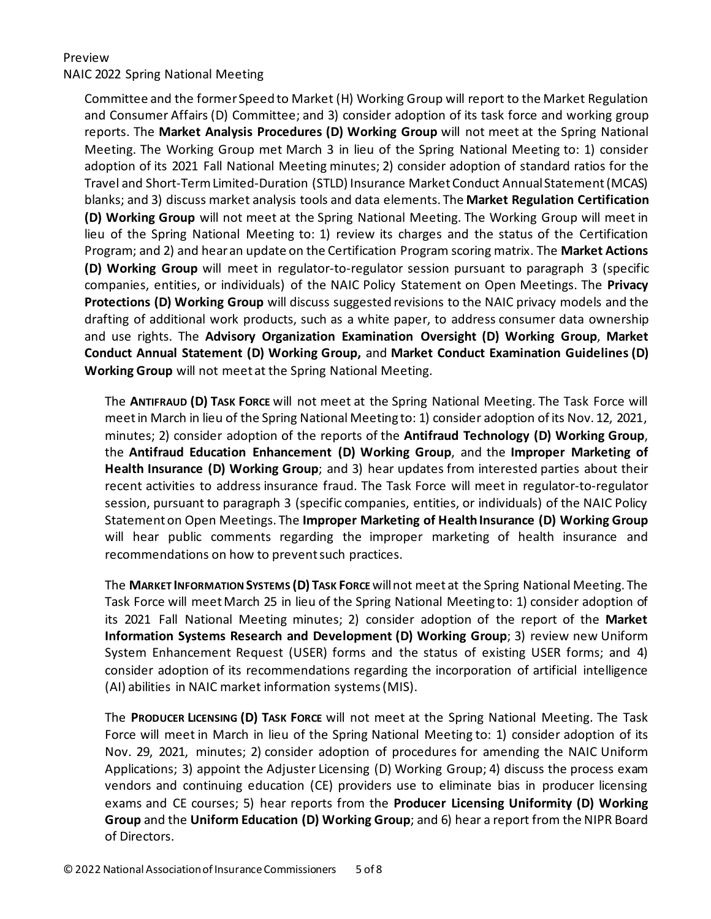## NAIC 2022 Spring National Meeting

Committee and the former Speed to Market (H) Working Group will report to the Market Regulation and Consumer Affairs (D) Committee; and 3) consider adoption of its task force and working group reports. The **Market Analysis Procedures (D) Working Group** will not meet at the Spring National Meeting. The Working Group met March 3 in lieu of the Spring National Meeting to: 1) consider adoption of its 2021 Fall National Meeting minutes; 2) consider adoption of standard ratios for the Travel and Short-Term Limited-Duration (STLD) Insurance Market Conduct Annual Statement (MCAS) blanks; and 3) discuss market analysis tools and data elements. The **Market Regulation Certification (D) Working Group** will not meet at the Spring National Meeting. The Working Group will meet in lieu of the Spring National Meeting to: 1) review its charges and the status of the Certification Program; and 2) and hear an update on the Certification Program scoring matrix. The **Market Actions (D) Working Group** will meet in regulator-to-regulator session pursuant to paragraph 3 (specific companies, entities, or individuals) of the NAIC Policy Statement on Open Meetings. The **Privacy Protections (D) Working Group** will discuss suggested revisions to the NAIC privacy models and the drafting of additional work products, such as a white paper, to address consumer data ownership and use rights. The **Advisory Organization Examination Oversight (D) Working Group**, **Market Conduct Annual Statement (D) Working Group,** and **Market Conduct Examination Guidelines (D) Working Group** will not meet at the Spring National Meeting.

The **ANTIFRAUD (D) TASK FORCE** will not meet at the Spring National Meeting. The Task Force will meet in March in lieu of the Spring National Meeting to: 1) consider adoption of its Nov. 12, 2021, minutes; 2) consider adoption of the reports of the **Antifraud Technology (D) Working Group**, the **Antifraud Education Enhancement (D) Working Group**, and the **Improper Marketing of Health Insurance (D) Working Group**; and 3) hear updates from interested parties about their recent activities to address insurance fraud. The Task Force will meet in regulator-to-regulator session, pursuant to paragraph 3 (specific companies, entities, or individuals) of the NAIC Policy Statement on Open Meetings. The **Improper Marketing of Health Insurance (D) Working Group** will hear public comments regarding the improper marketing of health insurance and recommendations on how to prevent such practices.

The **MARKET INFORMATION SYSTEMS (D) TASK FORCE**will not meet at the Spring National Meeting. The Task Force will meet March 25 in lieu of the Spring National Meeting to: 1) consider adoption of its 2021 Fall National Meeting minutes; 2) consider adoption of the report of the **Market Information Systems Research and Development (D) Working Group**; 3) review new Uniform System Enhancement Request (USER) forms and the status of existing USER forms; and 4) consider adoption of its recommendations regarding the incorporation of artificial intelligence (AI) abilities in NAIC market information systems (MIS).

The **PRODUCER LICENSING (D) TASK FORCE** will not meet at the Spring National Meeting. The Task Force will meet in March in lieu of the Spring National Meeting to: 1) consider adoption of its Nov. 29, 2021, minutes; 2) consider adoption of procedures for amending the NAIC Uniform Applications; 3) appoint the Adjuster Licensing (D) Working Group; 4) discuss the process exam vendors and continuing education (CE) providers use to eliminate bias in producer licensing exams and CE courses; 5) hear reports from the **Producer Licensing Uniformity (D) Working Group** and the **Uniform Education (D) Working Group**; and 6) hear a report from the NIPR Board of Directors.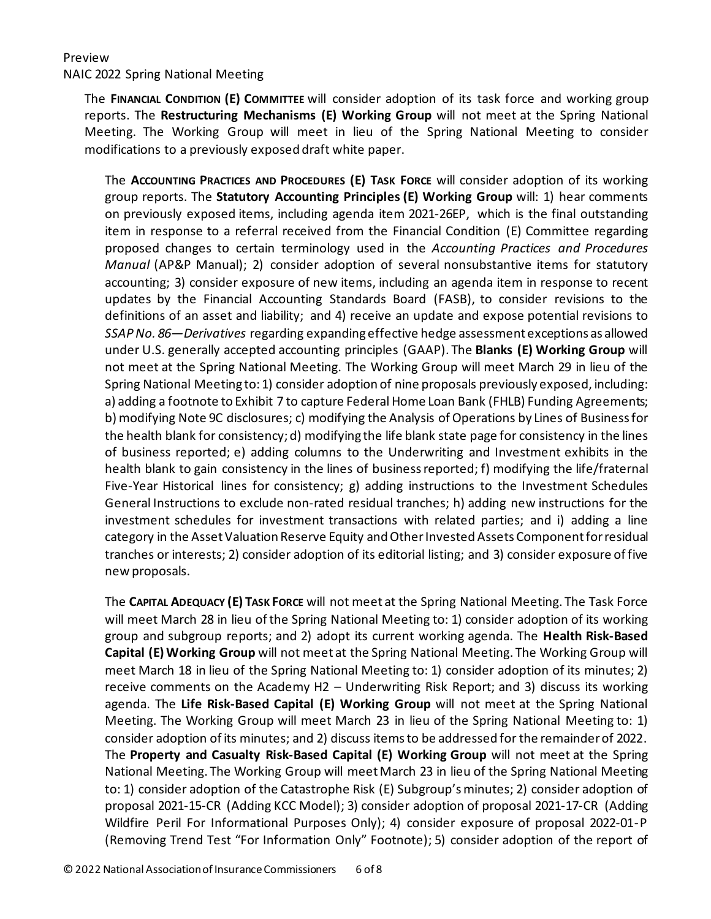#### NAIC 2022 Spring National Meeting

The **FINANCIAL CONDITION (E) COMMITTEE** will consider adoption of its task force and working group reports. The **Restructuring Mechanisms (E) Working Group** will not meet at the Spring National Meeting. The Working Group will meet in lieu of the Spring National Meeting to consider modifications to a previously exposed draft white paper.

The **ACCOUNTING PRACTICES AND PROCEDURES (E) TASK FORCE** will consider adoption of its working group reports. The **Statutory Accounting Principles (E) Working Group** will: 1) hear comments on previously exposed items, including agenda item 2021-26EP, which is the final outstanding item in response to a referral received from the Financial Condition (E) Committee regarding proposed changes to certain terminology used in the *Accounting Practices and Procedures Manual* (AP&P Manual); 2) consider adoption of several nonsubstantive items for statutory accounting; 3) consider exposure of new items, including an agenda item in response to recent updates by the Financial Accounting Standards Board (FASB), to consider revisions to the definitions of an asset and liability; and 4) receive an update and expose potential revisions to *SSAP No. 86—Derivatives* regarding expanding effective hedge assessment exceptions as allowed under U.S. generally accepted accounting principles (GAAP). The **Blanks (E) Working Group** will not meet at the Spring National Meeting. The Working Group will meet March 29 in lieu of the Spring National Meeting to: 1) consider adoption of nine proposals previously exposed, including: a) adding a footnote to Exhibit 7 to capture Federal Home Loan Bank (FHLB) Funding Agreements; b) modifying Note 9C disclosures; c) modifying the Analysis of Operations by Lines of Business for the health blank for consistency; d) modifying the life blank state page for consistency in the lines of business reported; e) adding columns to the Underwriting and Investment exhibits in the health blank to gain consistency in the lines of business reported; f) modifying the life/fraternal Five-Year Historical lines for consistency; g) adding instructions to the Investment Schedules General Instructions to exclude non-rated residual tranches; h) adding new instructions for the investment schedules for investment transactions with related parties; and i) adding a line category in the Asset Valuation Reserve Equity and Other Invested Assets Component for residual tranches or interests; 2) consider adoption of its editorial listing; and 3) consider exposure of five new proposals.

The **CAPITAL ADEQUACY (E) TASK FORCE** will not meet at the Spring National Meeting. The Task Force will meet March 28 in lieu of the Spring National Meeting to: 1) consider adoption of its working group and subgroup reports; and 2) adopt its current working agenda. The **Health Risk-Based Capital (E) Working Group** will not meet at the Spring National Meeting. The Working Group will meet March 18 in lieu of the Spring National Meeting to: 1) consider adoption of its minutes; 2) receive comments on the Academy H2 – Underwriting Risk Report; and 3) discuss its working agenda. The **Life Risk-Based Capital (E) Working Group** will not meet at the Spring National Meeting. The Working Group will meet March 23 in lieu of the Spring National Meeting to: 1) consider adoption of its minutes; and 2) discuss items to be addressed for the remainder of 2022. The **Property and Casualty Risk-Based Capital (E) Working Group** will not meet at the Spring National Meeting. The Working Group will meet March 23 in lieu of the Spring National Meeting to: 1) consider adoption of the Catastrophe Risk (E) Subgroup'sminutes; 2) consider adoption of proposal 2021-15-CR (Adding KCC Model); 3) consider adoption of proposal 2021-17-CR (Adding Wildfire Peril For Informational Purposes Only); 4) consider exposure of proposal 2022-01-P (Removing Trend Test "For Information Only" Footnote); 5) consider adoption of the report of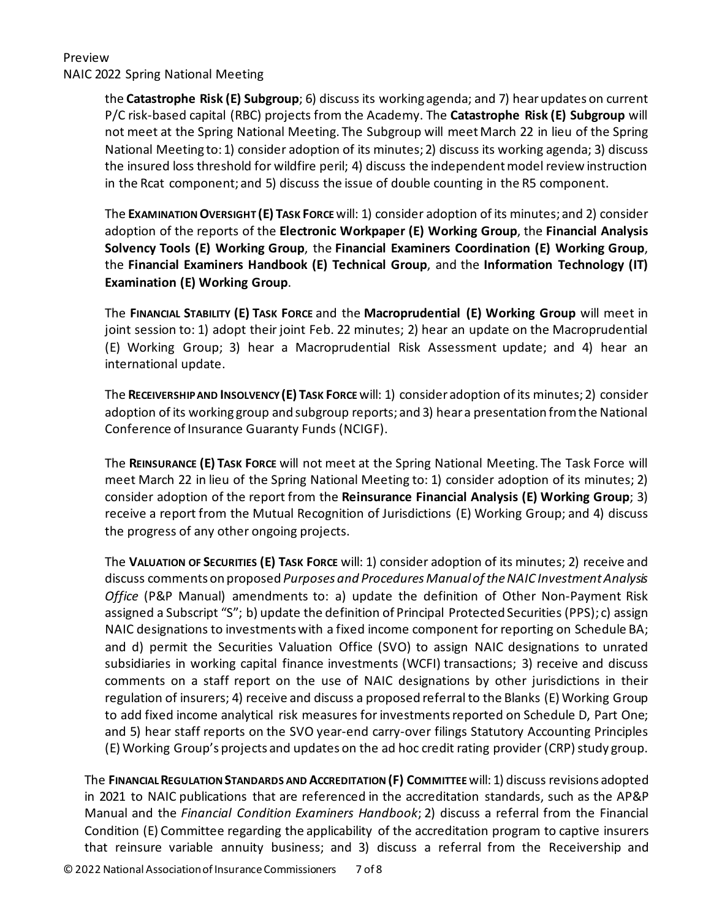#### Preview NAIC 2022 Spring National Meeting

the **Catastrophe Risk (E) Subgroup**; 6) discuss its working agenda; and 7) hear updates on current P/C risk-based capital (RBC) projects from the Academy. The **Catastrophe Risk (E) Subgroup** will not meet at the Spring National Meeting. The Subgroup will meet March 22 in lieu of the Spring National Meeting to: 1) consider adoption of its minutes; 2) discuss its working agenda; 3) discuss the insured loss threshold for wildfire peril; 4) discuss the independent model review instruction in the Rcat component; and 5) discuss the issue of double counting in the R5 component.

The **EXAMINATION OVERSIGHT (E) TASK FORCE**will: 1) consider adoption of its minutes; and 2) consider adoption of the reports of the **Electronic Workpaper (E) Working Group**, the **Financial Analysis Solvency Tools (E) Working Group**, the **Financial Examiners Coordination (E) Working Group**, the **Financial Examiners Handbook (E) Technical Group**, and the **Information Technology (IT) Examination (E) Working Group**.

The **FINANCIAL STABILITY (E) TASK FORCE** and the **Macroprudential (E) Working Group** will meet in joint session to: 1) adopt their joint Feb. 22 minutes; 2) hear an update on the Macroprudential (E) Working Group; 3) hear a Macroprudential Risk Assessment update; and 4) hear an international update.

The **RECEIVERSHIP AND INSOLVENCY (E) TASK FORCE**will: 1) consider adoption of its minutes; 2) consider adoption of its working group and subgroup reports; and 3) hear a presentation from the National Conference of Insurance Guaranty Funds (NCIGF).

The **REINSURANCE (E) TASK FORCE** will not meet at the Spring National Meeting. The Task Force will meet March 22 in lieu of the Spring National Meeting to: 1) consider adoption of its minutes; 2) consider adoption of the report from the **Reinsurance Financial Analysis (E) Working Group**; 3) receive a report from the Mutual Recognition of Jurisdictions (E) Working Group; and 4) discuss the progress of any other ongoing projects.

The **VALUATION OF SECURITIES (E) TASK FORCE** will: 1) consider adoption of its minutes; 2) receive and discuss comments on proposed *Purposes and Procedures Manual of the NAIC Investment Analysis Office* (P&P Manual) amendments to: a) update the definition of Other Non-Payment Risk assigned a Subscript "S"; b) update the definition of Principal Protected Securities (PPS); c) assign NAIC designations to investments with a fixed income component for reporting on Schedule BA; and d) permit the Securities Valuation Office (SVO) to assign NAIC designations to unrated subsidiaries in working capital finance investments (WCFI) transactions; 3) receive and discuss comments on a staff report on the use of NAIC designations by other jurisdictions in their regulation of insurers; 4) receive and discuss a proposed referral to the Blanks (E) Working Group to add fixed income analytical risk measures for investments reported on Schedule D, Part One; and 5) hear staff reports on the SVO year-end carry-over filings Statutory Accounting Principles (E) Working Group's projects and updates on the ad hoc credit rating provider (CRP) study group.

The **FINANCIAL REGULATION STANDARDS AND ACCREDITATION (F) COMMITTEE**will: 1) discuss revisions adopted in 2021 to NAIC publications that are referenced in the accreditation standards, such as the AP&P Manual and the *Financial Condition Examiners Handbook*; 2) discuss a referral from the Financial Condition (E) Committee regarding the applicability of the accreditation program to captive insurers that reinsure variable annuity business; and 3) discuss a referral from the Receivership and